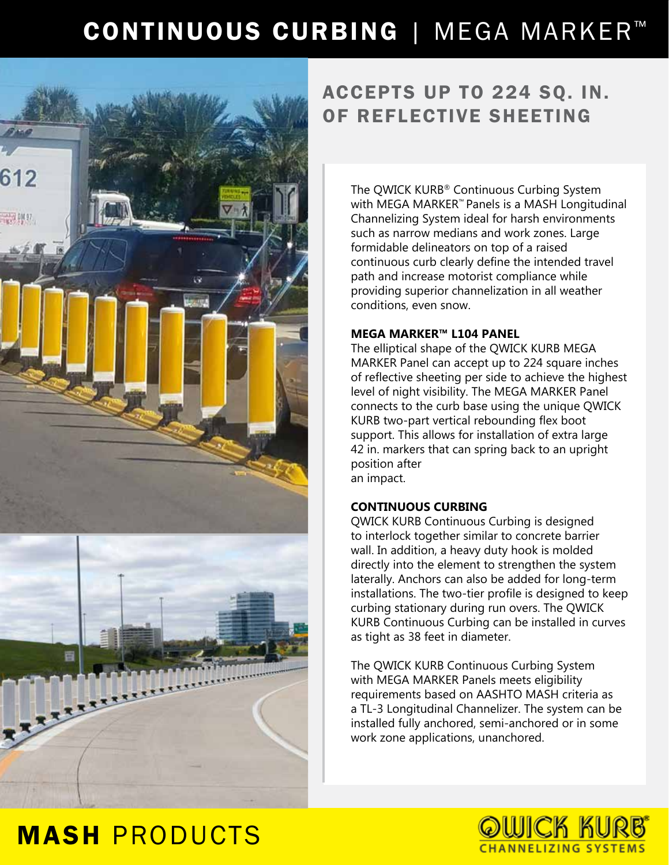## CONTINUOUS CURBING | MEGA MARKER™



## ACCEPTS UP TO 224 SQ. IN. OF REFLECTIVE SHEETING

The QWICK KURB® Continuous Curbing System with MEGA MARKER™ Panels is a MASH Longitudinal Channelizing System ideal for harsh environments such as narrow medians and work zones. Large formidable delineators on top of a raised continuous curb clearly define the intended travel path and increase motorist compliance while providing superior channelization in all weather conditions, even snow.

#### **MEGA MARKER™ L104 PANEL**

The elliptical shape of the QWICK KURB MEGA MARKER Panel can accept up to 224 square inches of reflective sheeting per side to achieve the highest level of night visibility. The MEGA MARKER Panel connects to the curb base using the unique QWICK KURB two-part vertical rebounding flex boot support. This allows for installation of extra large 42 in. markers that can spring back to an upright position after an impact.

### **CONTINUOUS CURBING**

QWICK KURB Continuous Curbing is designed to interlock together similar to concrete barrier wall. In addition, a heavy duty hook is molded directly into the element to strengthen the system laterally. Anchors can also be added for long-term installations. The two-tier profile is designed to keep curbing stationary during run overs. The QWICK KURB Continuous Curbing can be installed in curves as tight as 38 feet in diameter.

The QWICK KURB Continuous Curbing System with MEGA MARKER Panels meets eligibility requirements based on AASHTO MASH criteria as a TL-3 Longitudinal Channelizer. The system can be installed fully anchored, semi-anchored or in some work zone applications, unanchored.



## MASH PRODUCTS